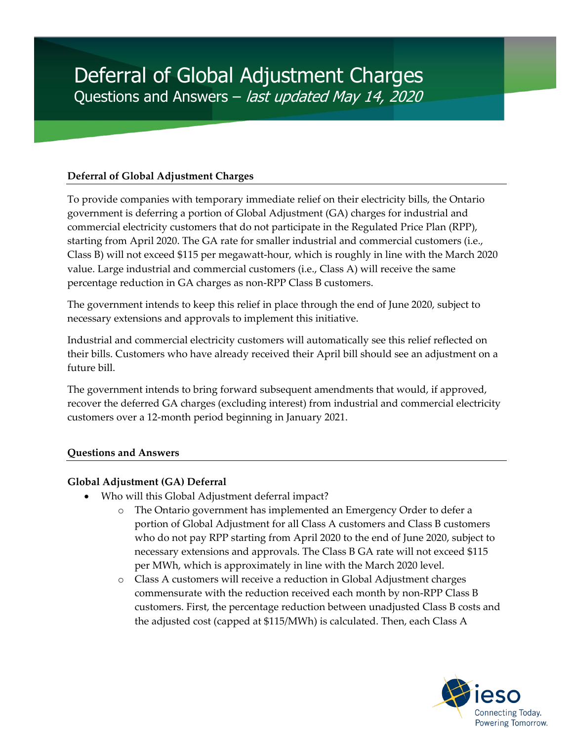## **Deferral of Global Adjustment Charges**

To provide companies with temporary immediate relief on their electricity bills, the Ontario government is deferring a portion of Global Adjustment (GA) charges for industrial and commercial electricity customers that do not participate in the Regulated Price Plan (RPP), starting from April 2020. The GA rate for smaller industrial and commercial customers (i.e., Class B) will not exceed \$115 per megawatt-hour, which is roughly in line with the March 2020 value. Large industrial and commercial customers (i.e., Class A) will receive the same percentage reduction in GA charges as non-RPP Class B customers.

The government intends to keep this relief in place through the end of June 2020, subject to necessary extensions and approvals to implement this initiative.

Industrial and commercial electricity customers will automatically see this relief reflected on their bills. Customers who have already received their April bill should see an adjustment on a future bill.

The government intends to bring forward subsequent amendments that would, if approved, recover the deferred GA charges (excluding interest) from industrial and commercial electricity customers over a 12-month period beginning in January 2021.

### **Questions and Answers**

### **Global Adjustment (GA) Deferral**

- Who will this Global Adjustment deferral impact?
	- o The Ontario government has implemented an Emergency Order to defer a portion of Global Adjustment for all Class A customers and Class B customers who do not pay RPP starting from April 2020 to the end of June 2020, subject to necessary extensions and approvals. The Class B GA rate will not exceed \$115 per MWh, which is approximately in line with the March 2020 level.
	- o Class A customers will receive a reduction in Global Adjustment charges commensurate with the reduction received each month by non-RPP Class B customers. First, the percentage reduction between unadjusted Class B costs and the adjusted cost (capped at \$115/MWh) is calculated. Then, each Class A

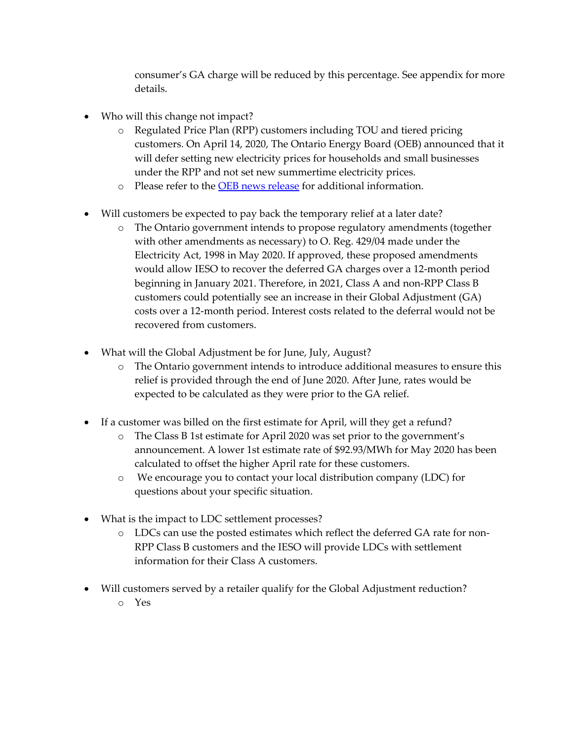consumer's GA charge will be reduced by this percentage. See appendix for more details.

- Who will this change not impact?
	- o Regulated Price Plan (RPP) customers including TOU and tiered pricing customers. On April 14, 2020, The Ontario Energy Board (OEB) announced that it will defer setting new electricity prices for households and small businesses under the RPP and not set new summertime electricity prices.
	- o Please refer to the [OEB news release](https://www.oeb.ca/newsroom/2020/ontario-energy-board-defer-setting-summer-electricity-prices-households-and-small) for additional information.
- Will customers be expected to pay back the temporary relief at a later date?
	- o The Ontario government intends to propose regulatory amendments (together with other amendments as necessary) to O. Reg. 429/04 made under the Electricity Act, 1998 in May 2020. If approved, these proposed amendments would allow IESO to recover the deferred GA charges over a 12-month period beginning in January 2021. Therefore, in 2021, Class A and non-RPP Class B customers could potentially see an increase in their Global Adjustment (GA) costs over a 12-month period. Interest costs related to the deferral would not be recovered from customers.
- What will the Global Adjustment be for June, July, August?
	- o The Ontario government intends to introduce additional measures to ensure this relief is provided through the end of June 2020. After June, rates would be expected to be calculated as they were prior to the GA relief.
- If a customer was billed on the first estimate for April, will they get a refund?
	- o The Class B 1st estimate for April 2020 was set prior to the government's announcement. A lower 1st estimate rate of \$92.93/MWh for May 2020 has been calculated to offset the higher April rate for these customers.
	- o We encourage you to contact your local distribution company (LDC) for questions about your specific situation.
- What is the impact to LDC settlement processes?
	- o LDCs can use the posted estimates which reflect the deferred GA rate for non-RPP Class B customers and the IESO will provide LDCs with settlement information for their Class A customers.
- Will customers served by a retailer qualify for the Global Adjustment reduction? o Yes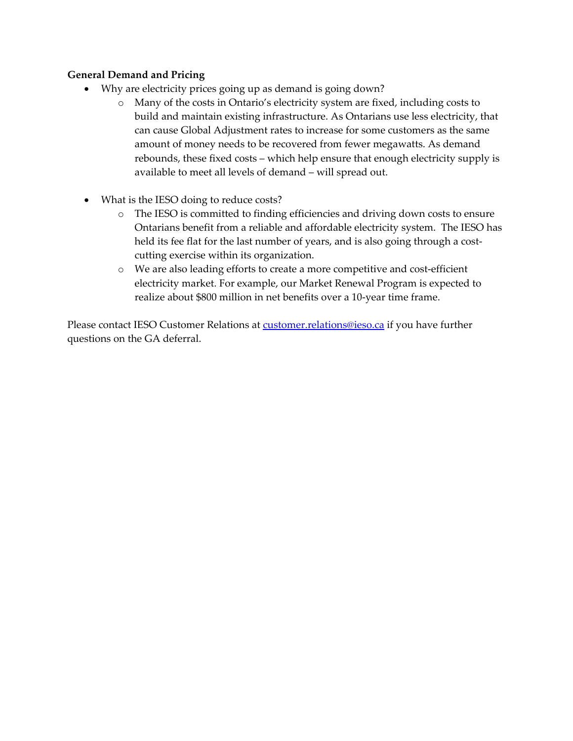### **General Demand and Pricing**

- Why are electricity prices going up as demand is going down?
	- o Many of the costs in Ontario's electricity system are fixed, including costs to build and maintain existing infrastructure. As Ontarians use less electricity, that can cause Global Adjustment rates to increase for some customers as the same amount of money needs to be recovered from fewer megawatts. As demand rebounds, these fixed costs – which help ensure that enough electricity supply is available to meet all levels of demand – will spread out.
- What is the IESO doing to reduce costs?
	- o The IESO is committed to finding efficiencies and driving down costs to ensure Ontarians benefit from a reliable and affordable electricity system. The IESO has held its fee flat for the last number of years, and is also going through a costcutting exercise within its organization.
	- o We are also leading efforts to create a more competitive and cost-efficient electricity market. For example, our Market Renewal Program is expected to realize about \$800 million in net benefits over a 10-year time frame.

Please contact IESO Customer Relations at [customer.relations@ieso.ca](mailto:customer.relations@ieso.ca) if you have further questions on the GA deferral.